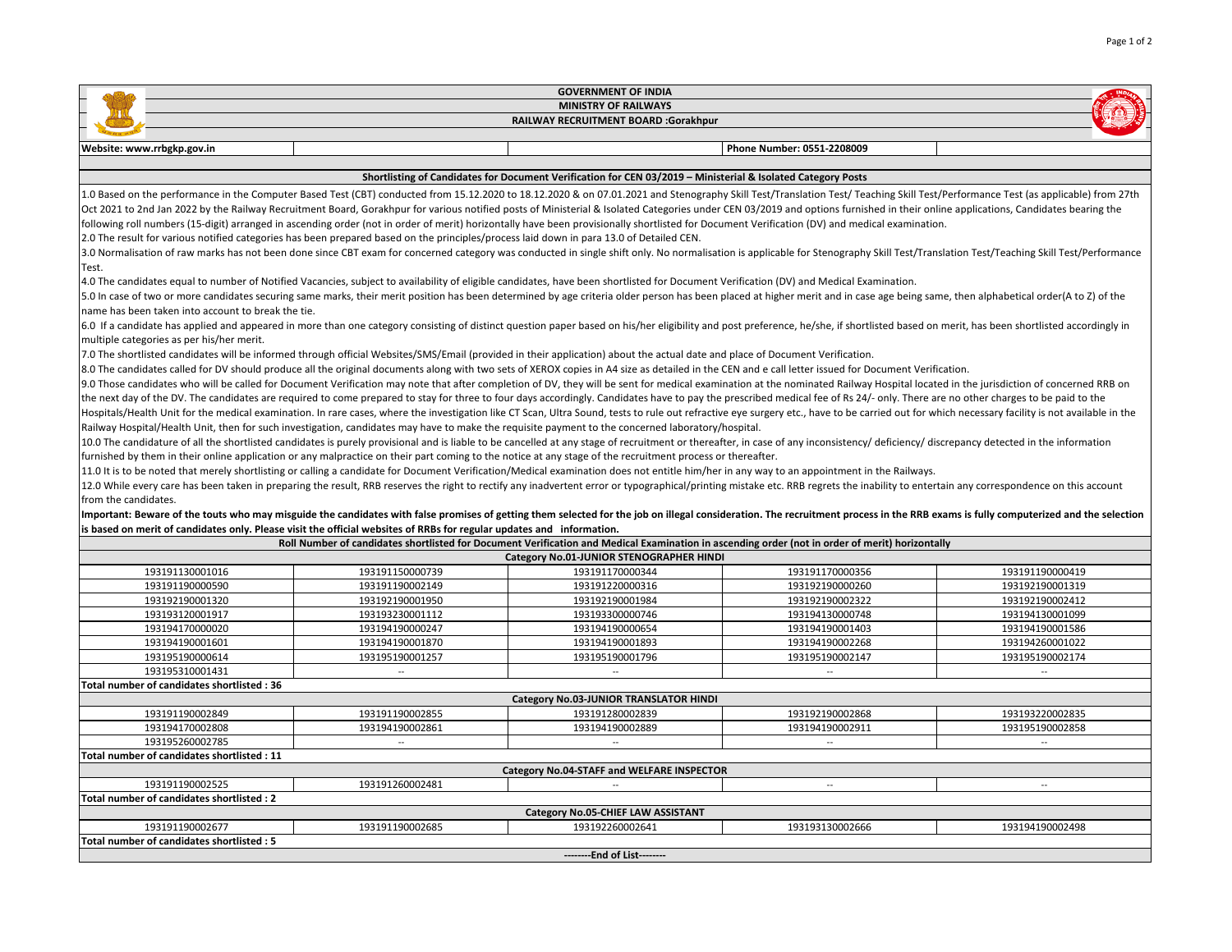| <b>GOVERNMENT OF INDIA</b>                                                                                                                                                                                                     |                 |                                          |                            |                 |
|--------------------------------------------------------------------------------------------------------------------------------------------------------------------------------------------------------------------------------|-----------------|------------------------------------------|----------------------------|-----------------|
| <b>MINISTRY OF RAILWAYS</b>                                                                                                                                                                                                    |                 |                                          |                            |                 |
| RAILWAY RECRUITMENT BOARD :Gorakhpur                                                                                                                                                                                           |                 |                                          |                            |                 |
| Website: www.rrbgkp.gov.in                                                                                                                                                                                                     |                 |                                          | Phone Number: 0551-2208009 |                 |
|                                                                                                                                                                                                                                |                 |                                          |                            |                 |
| Shortlisting of Candidates for Document Verification for CEN 03/2019 - Ministerial & Isolated Category Posts                                                                                                                   |                 |                                          |                            |                 |
| 1.0 Based on the performance in the Computer Based Test (CBT) conducted from 15.12.2020 to 18.12.2020 & on 07.01.2021 and Stenography Skill Test/Translation Test/Teaching Skill Test/Performance Test (as applicable) from 27 |                 |                                          |                            |                 |
| Oct 2021 to 2nd Jan 2022 by the Railway Recruitment Board, Gorakhpur for various notified posts of Ministerial & Isolated Categories under CEN 03/2019 and options furnished in their online applications, Candidates bearing  |                 |                                          |                            |                 |
| following roll numbers (15-digit) arranged in ascending order (not in order of merit) horizontally have been provisionally shortlisted for Document Verification (DV) and medical examination.                                 |                 |                                          |                            |                 |
| 2.0 The result for various notified categories has been prepared based on the principles/process laid down in para 13.0 of Detailed CEN.                                                                                       |                 |                                          |                            |                 |
| 3.0 Normalisation of raw marks has not been done since CBT exam for concerned category was conducted in single shift only. No normalisation is applicable for Stenography Skill Test/Translation Test/Teaching Skill Test/Perf |                 |                                          |                            |                 |
| Test.                                                                                                                                                                                                                          |                 |                                          |                            |                 |
| 4.0 The candidates equal to number of Notified Vacancies, subject to availability of eligible candidates, have been shortlisted for Document Verification (DV) and Medical Examination.                                        |                 |                                          |                            |                 |
| 5.0 In case of two or more candidates securing same marks, their merit position has been determined by age criteria older person has been placed at higher merit and in case age being same, then alphabetical order(A to Z) o |                 |                                          |                            |                 |
| name has been taken into account to break the tie.                                                                                                                                                                             |                 |                                          |                            |                 |
| 6.0 If a candidate has applied and appeared in more than one category consisting of distinct question paper based on his/her eligibility and post preference, he/she, if shortlisted based on merit, has been shortlisted acco |                 |                                          |                            |                 |
| multiple categories as per his/her merit.                                                                                                                                                                                      |                 |                                          |                            |                 |
| 7.0 The shortlisted candidates will be informed through official Websites/SMS/Email (provided in their application) about the actual date and place of Document Verification.                                                  |                 |                                          |                            |                 |
| 8.0 The candidates called for DV should produce all the original documents along with two sets of XEROX copies in A4 size as detailed in the CEN and e call letter issued for Document Verification.                           |                 |                                          |                            |                 |
| 9.0 Those candidates who will be called for Document Verification may note that after completion of DV, they will be sent for medical examination at the nominated Railway Hospital located in the jurisdiction of concerned R |                 |                                          |                            |                 |
| the next day of the DV. The candidates are required to come prepared to stay for three to four days accordingly. Candidates have to pay the prescribed medical fee of Rs 24/- only. There are no other charges to be paid to t |                 |                                          |                            |                 |
| Hospitals/Health Unit for the medical examination. In rare cases, where the investigation like CT Scan, Ultra Sound, tests to rule out refractive eye surgery etc., have to be carried out for which necessary facility is not |                 |                                          |                            |                 |
| Railway Hospital/Health Unit, then for such investigation, candidates may have to make the requisite payment to the concerned laboratory/hospital.                                                                             |                 |                                          |                            |                 |
| 10.0 The candidature of all the shortlisted candidates is purely provisional and is liable to be cancelled at any stage of recruitment or thereafter, in case of any inconsistency/ deficiency/ discrepancy detected in the in |                 |                                          |                            |                 |
| furnished by them in their online application or any malpractice on their part coming to the notice at any stage of the recruitment process or thereafter.                                                                     |                 |                                          |                            |                 |
| 11.0 It is to be noted that merely shortlisting or calling a candidate for Document Verification/Medical examination does not entitle him/her in any way to an appointment in the Railways.                                    |                 |                                          |                            |                 |
| 12.0 While every care has been taken in preparing the result, RRB reserves the right to rectify any inadvertent error or typographical/printing mistake etc. RRB regrets the inability to entertain any correspondence on this |                 |                                          |                            |                 |
| from the candidates.                                                                                                                                                                                                           |                 |                                          |                            |                 |
| Important: Beware of the touts who may misguide the candidates with false promises of getting them selected for the job on illegal consideration. The recruitment process in the RRB exams is fully computerized and the selec |                 |                                          |                            |                 |
| is based on merit of candidates only. Please visit the official websites of RRBs for regular updates and information.                                                                                                          |                 |                                          |                            |                 |
| Roll Number of candidates shortlisted for Document Verification and Medical Examination in ascending order (not in order of merit) horizontally                                                                                |                 |                                          |                            |                 |
|                                                                                                                                                                                                                                |                 | Category No.01-JUNIOR STENOGRAPHER HINDI |                            |                 |
| 193191130001016                                                                                                                                                                                                                | 193191150000739 | 193191170000344                          | 193191170000356            | 193191190000419 |
| 193191190000590                                                                                                                                                                                                                | 193191190002149 | 193191220000316                          | 193192190000260            | 193192190001319 |
| 193192190001320                                                                                                                                                                                                                | 193192190001950 | 193192190001984                          | 193192190002322            | 193192190002412 |
| 193193120001917                                                                                                                                                                                                                | 193193230001112 | 193193300000746                          | 193194130000748            | 193194130001099 |
| 193194170000020                                                                                                                                                                                                                | 193194190000247 | 193194190000654                          | 193194190001403            | 193194190001586 |
| 193194190001601                                                                                                                                                                                                                | 193194190001870 | 193194190001893                          | 193194190002268            | 193194260001022 |
| 193195190000614                                                                                                                                                                                                                | 193195190001257 | 193195190001796                          | 193195190002147            | 193195190002174 |
| 193195310001431                                                                                                                                                                                                                |                 |                                          |                            |                 |
| Total number of candidates shortlisted: 36                                                                                                                                                                                     |                 |                                          |                            |                 |
|                                                                                                                                                                                                                                |                 | Category No.03-JUNIOR TRANSLATOR HINDI   |                            |                 |
| 193191190002849                                                                                                                                                                                                                | 193191190002855 | 193191280002839                          | 193192190002868            | 193193220002835 |
| 193194170002808                                                                                                                                                                                                                | 193194190002861 | 193194190002889                          | 193194190002911            | 193195190002858 |
| 193195260002785                                                                                                                                                                                                                | $\sim$          | $\sim$                                   | $\sim$                     | $\sim$          |
| Total number of candidates shortlisted: 11                                                                                                                                                                                     |                 |                                          |                            |                 |
| Category No.04-STAFF and WELFARE INSPECTOR                                                                                                                                                                                     |                 |                                          |                            |                 |
| 193191190002525                                                                                                                                                                                                                | 193191260002481 | $\sim$                                   | $\sim$                     | $\sim$          |
| Total number of candidates shortlisted : 2                                                                                                                                                                                     |                 |                                          |                            |                 |
|                                                                                                                                                                                                                                |                 | Category No.05-CHIEF LAW ASSISTANT       |                            |                 |
| 193191190002677                                                                                                                                                                                                                | 193191190002685 | 193192260002641                          | 193193130002666            | 193194190002498 |
| Total number of candidates shortlisted: 5                                                                                                                                                                                      |                 |                                          |                            |                 |
|                                                                                                                                                                                                                                |                 | --------End of List-------               |                            |                 |